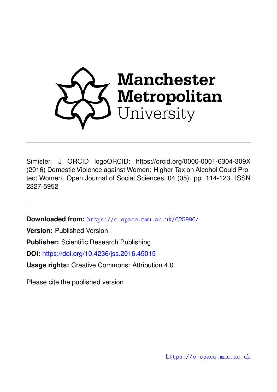

Simister, J ORCID logoORCID: https://orcid.org/0000-0001-6304-309X (2016) Domestic Violence against Women: Higher Tax on Alcohol Could Protect Women. Open Journal of Social Sciences, 04 (05). pp. 114-123. ISSN 2327-5952

**Downloaded from:** <https://e-space.mmu.ac.uk/625996/>

**Version:** Published Version

**Publisher:** Scientific Research Publishing

**DOI:** <https://doi.org/10.4236/jss.2016.45015>

**Usage rights:** Creative Commons: Attribution 4.0

Please cite the published version

<https://e-space.mmu.ac.uk>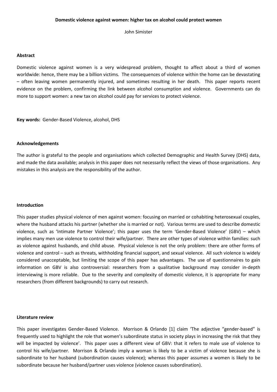John Simister

### **Abstract**

Domestic violence against women is a very widespread problem, thought to affect about a third of women worldwide: hence, there may be a billion victims. The consequences of violence within the home can be devastating – often leaving women permanently injured, and sometimes resulting in her death. This paper reports recent evidence on the problem, confirming the link between alcohol consumption and violence. Governments can do more to support women: a new tax on alcohol could pay for services to protect violence.

**Key words:** Gender-Based Violence, alcohol, DHS

### **Acknowledgements**

The author is grateful to the people and organisations which collected Demographic and Health Survey (DHS) data, and made the data available; analysis in this paper does not necessarily reflect the views of those organisations. Any mistakes in this analysis are the responsibility of the author.

#### **Introduction**

This paper studies physical violence of men against women: focusing on married or cohabiting heterosexual couples, where the husband attacks his partner (whether she is married or not). Various terms are used to describe domestic violence, such as 'Intimate Partner Violence'; this paper uses the term 'Gender-Based Violence' (GBV) – which implies many men use violence to control their wife/partner. There are other types of violence within families: such as violence against husbands, and child abuse. Physical violence is not the only problem: there are other forms of violence and control – such as threats, withholding financial support, and sexual violence. All such violence is widely considered unacceptable, but limiting the scope of this paper has advantages. The use of questionnaires to gain information on GBV is also controversial: researchers from a qualitative background may consider in-depth interviewing is more reliable. Due to the severity and complexity of domestic violence, it is appropriate for many researchers (from different backgrounds) to carry out research.

#### **Literature review**

This paper investigates Gender-Based Violence. Morrison & Orlando [1] claim 'The adjective "gender-based" is frequently used to highlight the role that women's subordinate status in society plays in increasing the risk that they will be impacted by violence'. This paper uses a different view of GBV: that it refers to male use of violence to control his wife/partner. Morrison & Orlando imply a woman is likely to be a victim of violence because she is subordinate to her husband (subordination causes violence); whereas this paper assumes a women is likely to be subordinate because her husband/partner uses violence (violence causes subordination).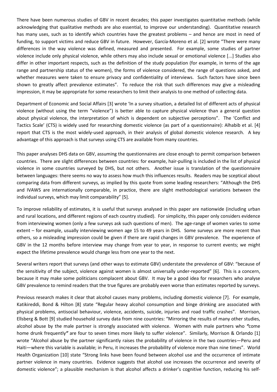There have been numerous studies of GBV in recent decades; this paper investigates quantitative methods (while acknowledging that qualitative methods are also essential, to improve our understanding). Quantitative research has many uses, such as to identify which countries have the greatest problems – and hence are most in need of funding, to support victims and reduce GBV in future. However, García-Moreno et al. [2] wrote "There were many differences in the way violence was defined, measured and presented. For example, some studies of partner violence include only physical violence, while others may also include sexual or emotional violence [...] Studies also differ in other important respects, such as the definition of the study population (for example, in terms of the age range and partnership status of the women), the forms of violence considered, the range of questions asked, and whether measures were taken to ensure privacy and confidentiality of interviews. Such factors have since been shown to greatly affect prevalence estimates". To reduce the risk that such differences may give a misleading impression, it may be appropriate for some researchers to limit their analysis to one method of collecting data.

Department of Economic and Social Affairs [3] wrote 'In a survey situation, a detailed list of different acts of physical violence (without using the term "violence") is better able to capture physical violence than a general question about physical violence, the interpretation of which is dependent on subjective perceptions". The 'Conflict and Tactics Scale' (CTS) is widely used for researching domestic violence (as part of a questionnaire): Alhabib et al. [4] report that CTS is the most widely-used approach, in their analysis of global domestic violence research. A key advantage of this approach is that surveys using CTS are available from many countries.

This paper analyses DHS data on GBV, assuming the questionnaires are close enough to permit comparison between countries. There are slight differences between countries: for example, hair-pulling is included in the list of physical violence in some countries surveyed by DHS, but not others. Another issue is translation of the questionnaire between languages: there seems no way to assess how much this influences results. Readers may be sceptical about comparing data from different surveys, as implied by this quote from some leading researchers: "Although the DHS and IVAWS are internationally comparable, in practice, there are slight methodological variations between the individual surveys, which may limit comparability" [5].

To improve reliability of estimates, it is useful that surveys analysed in this paper are nationwide (including urban and rural locations, and different regions of each country studied). For simplicity, this paper only considers evidence from interviewing women (only a few surveys ask such questions of men). The age-range of women varies to some extent – for example, usually interviewing women age 15 to 49 years in DHS. Some surveys are more recent than others, so a misleading impression could be given if there are rapid changes in GBV prevalence. The experience of GBV in the 12 months before interview may change from year to year, in response to current events; we might expect the lifetime prevalence would change less from one year to the next.

Several writers report that surveys (and other ways to estimate GBV) understate the prevalence of GBV: "because of the sensitivity of the subject, violence against women is almost universally under-reported" [6]. This is a concern, because it may make some politicians complacent about GBV. It may be a good idea for researchers who analyse GBV prevalence to remind readers that the true figures are probably even worse than estimates reported by surveys.

Previous research makes it clear that alcohol causes many problems, including domestic violence [7]. For example, Katikireddi, Bond & Hilton [8] state "Regular heavy alcohol consumption and binge drinking are associated with physical problems, antisocial behaviour, violence, accidents, suicide, injuries and road traffic crashes". Morrison, Ellsberg & Bott [9] studied household survey data from nine countries: "Mirroring the results of many other studies, alcohol abuse by the male partner is strongly associated with violence. Women with male partners who *"*come home drunk frequently*"* are four to seven times more likely to suffer violence". Similarly, Morrison & Orlando [1] wrote "Alcohol abuse by the partner significantly raises the probability of violence in the two countries—Peru and Haiti—where this variable is available; in Peru, it increases the probability of violence more than nine times". World Health Organization [10] state "Strong links have been found between alcohol use and the occurrence of intimate partner violence in many countries. Evidence suggests that alcohol use increases the occurrence and severity of domestic violence"; a plausible mechanism is that alcohol affects a drinker's cognitive function, reducing his self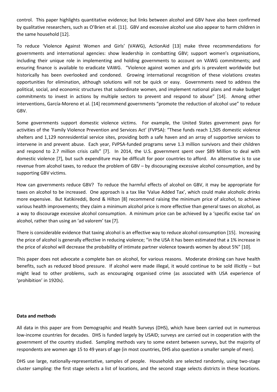control. This paper highlights quantitative evidence; but links between alcohol and GBV have also been confirmed by qualitative researchers, such as O'Brien et al. [11]. GBV and excessive alcohol use also appear to harm children in the same household [12].

To reduce 'Violence Against Women and Girls' (VAWG), ActionAid [13] make three recommendations for governments and international agencies: show leadership in combatting GBV; support women's organisations, including their unique role in implementing and holding governments to account on VAWG commitments; and ensuring finance is available to eradicate VAWG. "Violence against women and girls is prevalent worldwide but historically has been overlooked and condoned. Growing international recognition of these violations creates opportunities for elimination, although solutions will not be quick or easy. Governments need to address the political, social, and economic structures that subordinate women, and implement national plans and make budget commitments to invest in actions by multiple sectors to prevent and respond to abuse" [14]. Among other interventions, García-Moreno et al. [14] recommend governments "promote the reduction of alcohol use" to reduce GBV.

Some governments support domestic violence victims. For example, the United States government pays for activities of the 'Family Violence Prevention and Services Act' (FVPSA): "These funds reach 1,505 domestic violence shelters and 1,129 nonresidential service sites, providing both a safe haven and an array of supportive services to intervene in and prevent abuse. Each year, FVPSA-funded programs serve 1.3 million survivors and their children and respond to 2.7 million crisis calls" [7]. In 2014, the U.S. government spent over \$89 Million to deal with domestic violence [7], but such expenditure may be difficult for poor countries to afford. An alternative is to use revenue from alcohol taxes, to reduce the problem of GBV – by discouraging excessive alcohol consumption, and by supporting GBV victims.

How can governments reduce GBV? To reduce the harmful effects of alcohol on GBV, it may be appropriate for taxes on alcohol to be increased. One approach is a tax like 'Value Added Tax', which could make alcoholic drinks more expensive. But Katikireddi, Bond & Hilton [8] recommend raising the minimum price of alcohol, to achieve various health improvements; they claim a minimum alcohol price is more effective than general taxes on alcohol, as a way to discourage excessive alcohol consumption. A minimum price can be achieved by a 'specific excise tax' on alcohol, rather than using an 'ad valorem' tax [7].

There is considerable evidence that taxing alcohol is an effective way to reduce alcohol consumption [15]. Increasing the price of alcohol is generally effective in reducing violence; "in the USA it has been estimated that a 1% increase in the price of alcohol will decrease the probability of intimate partner violence towards women by about 5%" [10].

This paper does not advocate a complete ban on alcohol, for various reasons. Moderate drinking can have health benefits, such as reduced blood pressure. If alcohol were made illegal, it would continue to be sold illicitly – but might lead to other problems, such as encouraging organised crime (as associated with USA experience of 'prohibition' in 1920s).

### **Data and methods**

All data in this paper are from Demographic and Health Surveys (DHS), which have been carried out in numerous low-income countries for decades. DHS is funded largely by USAID; surveys are carried out in cooperation with the government of the country studied. Sampling methods vary to some extent between surveys, but the majority of respondents are women age 15 to 49 years of age (in most countries, DHS also question a smaller sample of men).

DHS use large, nationally-representative, samples of people. Households are selected randomly, using two-stage cluster sampling: the first stage selects a list of locations, and the second stage selects districts in these locations.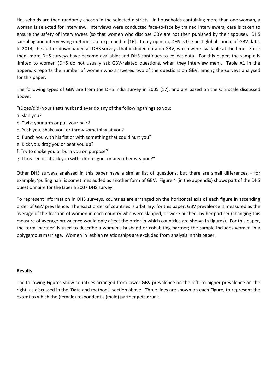Households are then randomly chosen in the selected districts. In households containing more than one woman, a woman is selected for interview. Interviews were conducted face-to-face by trained interviewers; care is taken to ensure the safety of interviewees (so that women who disclose GBV are not then punished by their spouse). DHS sampling and interviewing methods are explained in [16]. In my opinion, DHS is the best global source of GBV data. In 2014, the author downloaded all DHS surveys that included data on GBV, which were available at the time. Since then, more DHS surveys have become available; and DHS continues to collect data. For this paper, the sample is limited to women (DHS do not usually ask GBV-related questions, when they interview men). Table A1 in the appendix reports the number of women who answered two of the questions on GBV, among the surveys analysed for this paper.

The following types of GBV are from the DHS India survey in 2005 [17], and are based on the CTS scale discussed above:

"(Does/did) your (last) husband ever do any of the following things to you:

- a. Slap you?
- b. Twist your arm or pull your hair?
- c. Push you, shake you, or throw something at you?
- d. Punch you with his fist or with something that could hurt you?
- e. Kick you, drag you or beat you up?
- f. Try to choke you or burn you on purpose?
- g. Threaten or attack you with a knife, gun, or any other weapon?"

Other DHS surveys analysed in this paper have a similar list of questions, but there are small differences – for example, 'pulling hair' is sometimes added as another form of GBV. Figure 4 (in the appendix) shows part of the DHS questionnaire for the Liberia 2007 DHS survey.

To represent information in DHS surveys, countries are arranged on the horizontal axis of each figure in ascending order of GBV prevalence. The exact order of countries is arbitrary: for this paper, GBV prevalence is measured as the average of the fraction of women in each country who were slapped, or were pushed, by her partner (changing this measure of average prevalence would only affect the order in which countries are shown in figures). For this paper, the term 'partner' is used to describe a woman's husband or cohabiting partner; the sample includes women in a polygamous marriage. Women in lesbian relationships are excluded from analysis in this paper.

## **Results**

The following Figures show countries arranged from lower GBV prevalence on the left, to higher prevalence on the right, as discussed in the 'Data and methods' section above. Three lines are shown on each Figure, to represent the extent to which the (female) respondent's (male) partner gets drunk.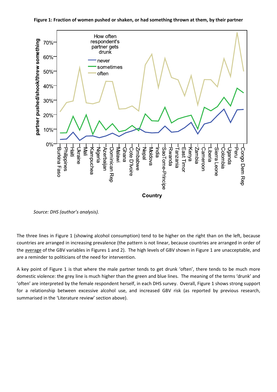

**Figure 1: Fraction of women pushed or shaken, or had something thrown at them, by their partner**

The three lines in Figure 1 (showing alcohol consumption) tend to be higher on the right than on the left, because countries are arranged in increasing prevalence (the pattern is not linear, because countries are arranged in order of the average of the GBV variables in Figures 1 and 2). The high levels of GBV shown in Figure 1 are unacceptable, and are a reminder to politicians of the need for intervention.

A key point of Figure 1 is that where the male partner tends to get drunk 'often', there tends to be much more domestic violence: the grey line is much higher than the green and blue lines. The meaning of the terms 'drunk' and 'often' are interpreted by the female respondent herself, in each DHS survey. Overall, Figure 1 shows strong support for a relationship between excessive alcohol use, and increased GBV risk (as reported by previous research, summarised in the 'Literature review' section above).

*Source: DHS (author's analysis).*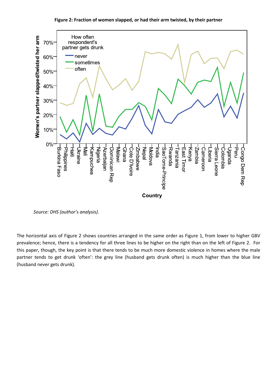

**Figure 2: Fraction of women slapped, or had their arm twisted, by their partner**

The horizontal axis of Figure 2 shows countries arranged in the same order as Figure 1, from lower to higher GBV prevalence; hence, there is a tendency for all three lines to be higher on the right than on the left of Figure 2. For this paper, though, the key point is that there tends to be much more domestic violence in homes where the male partner tends to get drunk 'often': the grey line (husband gets drunk often) is much higher than the blue line (husband never gets drunk).

*Source: DHS (author's analysis).*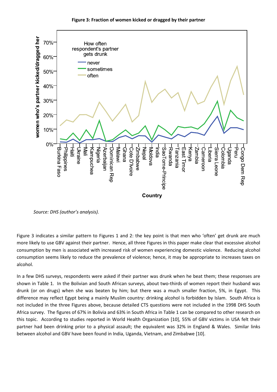



*Source: DHS (author's analysis).*

Figure 3 indicates a similar pattern to Figures 1 and 2: the key point is that men who 'often' get drunk are much more likely to use GBV against their partner. Hence, all three Figures in this paper make clear that excessive alcohol consumption by men is associated with increased risk of women experiencing domestic violence. Reducing alcohol consumption seems likely to reduce the prevalence of violence; hence, it may be appropriate to increases taxes on alcohol.

In a few DHS surveys, respondents were asked if their partner was drunk when he beat them; these responses are shown in Table 1. In the Bolivian and South African surveys, about two-thirds of women report their husband was drunk (or on drugs) when she was beaten by him; but there was a much smaller fraction, 5%, in Egypt. This difference may reflect Egypt being a mainly Muslim country: drinking alcohol is forbidden by Islam. South Africa is not included in the three Figures above, because detailed CTS questions were not included in the 1998 DHS South Africa survey. The figures of 67% in Bolivia and 63% in South Africa in Table 1 can be compared to other research on this topic. According to studies reported in World Health Organization [10], 55% of GBV victims in USA felt their partner had been drinking prior to a physical assault; the equivalent was 32% in England & Wales. Similar links between alcohol and GBV have been found in India, Uganda, Vietnam, and Zimbabwe [10].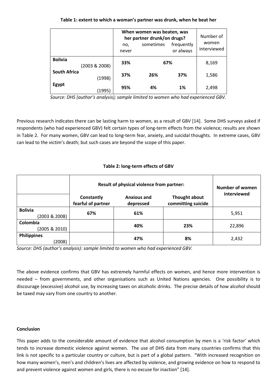## **Table 1: extent to which a woman's partner was drunk, when he beat her**

|                     |               | When women was beaten, was<br>her partner drunk/on drugs?<br>frequently<br>sometimes<br>no,<br>or always<br>never |     |     | Number of<br>women<br>interviewed |
|---------------------|---------------|-------------------------------------------------------------------------------------------------------------------|-----|-----|-----------------------------------|
| <b>Bolivia</b>      | (2003 & 2008) | 33%                                                                                                               | 67% |     | 8,169                             |
| <b>South Africa</b> | (1998)        | 37%                                                                                                               | 26% | 37% | 1,586                             |
| Egypt               | (1995)        | 95%                                                                                                               | 4%  | 1%  | 2,498                             |

*Source: DHS (author's analysis); sample limited to women who had experienced GBV.*

Previous research indicates there can be lasting harm to women, as a result of GBV [14]. Some DHS surveys asked if respondents (who had experienced GBV) felt certain types of long-term effects from the violence; results are shown in Table 2. For many women, GBV can lead to long-term fear, anxiety, and suicidal thoughts. In extreme cases, GBV can lead to the victim's death; but such cases are beyond the scope of this paper.

## **Table 2: long-term effects of GBV**

|                                 | Result of physical violence from partner: | <b>Number of women</b><br>interviewed |                                     |        |  |
|---------------------------------|-------------------------------------------|---------------------------------------|-------------------------------------|--------|--|
|                                 | Constantly<br>fearful of partner          | <b>Anxious and</b><br>depressed       | Thought about<br>committing suicide |        |  |
| <b>Bolivia</b><br>(2003 & 2008) | 67%                                       | 61%                                   |                                     | 5,951  |  |
| Colombia<br>(2005 & 2010)       |                                           | 40%                                   | 23%                                 | 22,896 |  |
| <b>Philippines</b><br>(2008)    |                                           | 47%                                   | 8%                                  | 2,432  |  |

*Source: DHS (author's analysis): sample limited to women who had experienced GBV.*

The above evidence confirms that GBV has extremely harmful effects on women, and hence more intervention is needed – from governments, and other organisations such as United Nations agencies. One possibility is to discourage (excessive) alcohol use, by increasing taxes on alcoholic drinks. The precise details of how alcohol should be taxed may vary from one country to another.

### **Conclusion**

This paper adds to the considerable amount of evidence that alcohol consumption by men is a 'risk factor' which tends to increase domestic violence against women. The use of DHS data from many countries confirms that this link is not specific to a particular country or culture, but is part of a global pattern. "With increased recognition on how many women's, men's and children's lives are affected by violence, and growing evidence on how to respond to and prevent violence against women and girls, there is no excuse for inaction" [14].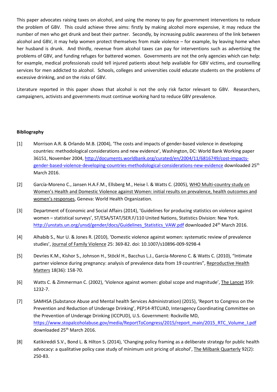This paper advocates raising taxes on alcohol, and using the money to pay for government interventions to reduce the problem of GBV. This could achieve three aims: firstly by making alcohol more expensive, it may reduce the number of men who get drunk and beat their partner. Secondly, by increasing public awareness of the link between alcohol and GBV, it may help women protect themselves from male violence – for example, by leaving home when her husband is drunk. And thirdly, revenue from alcohol taxes can pay for interventions such as advertising the problems of GBV, and funding refuges for battered women. Governments are not the only agencies which can help: for example, medical professionals could tell injured patients about help available for GBV victims, and counselling services for men addicted to alcohol. Schools, colleges and universities could educate students on the problems of excessive drinking, and on the risks of GBV.

Literature reported in this paper shows that alcohol is not the only risk factor relevant to GBV. Researchers, campaigners, activists and governments must continue working hard to reduce GBV prevalence.

### **Bibliography**

- [1] Morrison A.R. & Orlando M.B. (2004), 'The costs and impacts of gender-based violence in developing countries: methodological considerations and new evidence', Washington, DC: World Bank Working paper 36151, November 2004, [http://documents.worldbank.org/curated/en/2004/11/6816749/cost-impacts](http://documents.worldbank.org/curated/en/2004/11/6816749/cost-impacts-gender-based-violence-developing-countries-methodological-considerations-new-evidence)[gender-based-violence-developing-countries-methodological-considerations-new-evidence](http://documents.worldbank.org/curated/en/2004/11/6816749/cost-impacts-gender-based-violence-developing-countries-methodological-considerations-new-evidence) downloaded 25<sup>th</sup> March 2016.
- [2] García-Moreno C., Jansen H.A.F.M., Ellsberg M., Heise l. & Watts C. (2005), WHO Multi-country study on Women's Health and Domestic Violence against Women: initial results on prevalence, health outcomes and women's responses, Geneva: World Health Organization.
- [3] Department of Economic and Social Affairs (2014), 'Guidelines for producing statistics on violence against women – statistical surveys', ST/ESA/STAT/SER.F/110 United Nations, Statistics Division: New York. [http://unstats.un.org/unsd/gender/docs/Guidelines\\_Statistics\\_VAW.pdf](http://unstats.un.org/unsd/gender/docs/Guidelines_Statistics_VAW.pdf) downloaded 24th March 2016.
- [4] Alhabib S., Nur U. & Jones R. (2010), 'Domestic violence against women: systematic review of prevalence studies', Journal of Family Violence 25: 369-82. doi: 10.1007/s10896-009-9298-4
- [5] Devries K.M., Kishor S., Johnson H., Stöckl H., Bacchus L.J., Garcia-Moreno C. & Watts C. (2010), "Intimate partner violence during pregnancy: analysis of prevalence data from 19 countries", Reproductive Health Matters 18(36): 158-70.
- [6] Watts C. & Zimmerman C. (2002), 'Violence against women: global scope and magnitude', The Lancet 359: 1232-7.
- [7] SAMHSA (Substance Abuse and Mental health Services Administration) (2015), 'Report to Congress on the Prevention and Reduction of Underage Drinking', PEP14-RTCUAD, Interagency Coordinating Committee on the Prevention of Underage Drinking (ICCPUD), U.S. Government: Rockville MD, [https://www.stopalcoholabuse.gov/media/ReportToCongress/2015/report\\_main/2015\\_RTC\\_Volume\\_I.pdf](https://www.stopalcoholabuse.gov/media/ReportToCongress/2015/report_main/2015_RTC_Volume_I.pdf) downloaded 25<sup>th</sup> March 2016.
- [8] Katikireddi S.V., Bond L. & Hilton S. (2014), 'Changing policy framing as a deliberate strategy for public health advocacy: a qualitative policy case study of minimum unit pricing of alcohol', The Milbank Quarterly 92(2): 250-83.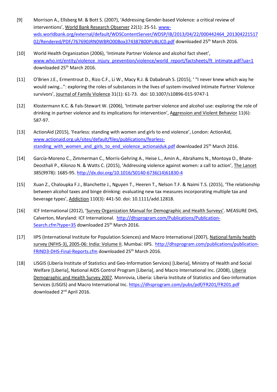- [9] Morrison A., Ellsberg M. & Bott S. (2007), 'Addressing Gender-based Violence: a critical review of interventions', World Bank Research Observer 22(1): 25-51. [www](http://www-wds.worldbank.org/external/default/WDSContentServer/WDSP/IB/2013/04/22/000442464_20130422151702/Rendered/PDF/767690JRN0WBRO00Box374387B00PUBLIC0.pdf)[wds.worldbank.org/external/default/WDSContentServer/WDSP/IB/2013/04/22/000442464\\_201304221517](http://www-wds.worldbank.org/external/default/WDSContentServer/WDSP/IB/2013/04/22/000442464_20130422151702/Rendered/PDF/767690JRN0WBRO00Box374387B00PUBLIC0.pdf) [02/Rendered/PDF/767690JRN0WBRO00Box374387B00PUBLIC0.pdf](http://www-wds.worldbank.org/external/default/WDSContentServer/WDSP/IB/2013/04/22/000442464_20130422151702/Rendered/PDF/767690JRN0WBRO00Box374387B00PUBLIC0.pdf) downloaded 25<sup>th</sup> March 2016.
- [10] World Health Organization (2006), 'Intimate Partner Violence and alcohol fact sheet', [www.who.int/entity/violence\\_injury\\_prevention/violence/world\\_report/factsheets/ft\\_intimate.pdf?ua=1](http://www.who.int/entity/violence_injury_prevention/violence/world_report/factsheets/ft_intimate.pdf?ua=1) downloaded 25<sup>th</sup> March 2016.
- [11] O'Brien J.E., Ermentrout D., Rizo C.F., Li W., Macy R.J. & Dababnah S. (2015), ' "I never knew which way he would swing…": exploring the roles of substances in the lives of system-involved Intimate Partner Violence survivors', Journal of Family Violence 31(1): 61-73. doi: 10.1007/s10896-015-9747-1
- [12] Klostermann K.C. & Fals-Stewart W. (2006), 'Intimate partner violence and alcohol use: exploring the role of drinking in partner violence and its implications for intervention', Aggression and Violent Behavior 11(6): 587-97.
- [13] ActionAid (2015), 'Fearless: standing with women and girls to end violence', London: ActionAid, [www.actionaid.org.uk/sites/default/files/publications/fearless](http://www.actionaid.org.uk/sites/default/files/publications/fearless-standing_with_women_and_girls_to_end_violence_actionaiduk.pdf)standing with women and girls to end violence actionaiduk.pdf downloaded 25<sup>th</sup> March 2016.
- [14] García-Moreno C., Zimmerman C., Morris-Gehring A., Heise L., Amin A., Abrahams N., Montoya O., Bhate-Deosthali P., Kilonzo N. & Watts C. (2015), 'Addressing violence against women: a call to action', The Lancet 385(9978): 1685-95. [http://dx.doi.org/10.1016/S0140-6736\(14\)61830-4](http://dx.doi.org/10.1016/S0140-6736%2814%2961830-4)
- [15] Xuan Z., Chaloupka F.J., Blanchette J., Nguyen T., Heeren T., Nelson T.F. & Naimi T.S. (2015), 'The relationship between alcohol taxes and binge drinking: evaluating new tax measures incorporating multiple tax and beverage types', Addiction 110(3): 441-50. doi: 10.1111/add.12818.
- [16] ICF International (2012), 'Survey Organization Manual for Demographic and Health Surveys'. MEASURE DHS, Calverton, Maryland: ICF International. [http://dhsprogram.com/Publications/Publication-](http://dhsprogram.com/Publications/Publication-Search.cfm?type=35)[Search.cfm?type=35](http://dhsprogram.com/Publications/Publication-Search.cfm?type=35) downloaded 25<sup>th</sup> March 2016.
- [17] IIPS (International Institute for Population Sciences) and Macro International (2007), National family health survey (NFHS-3), 2005-06: India: Volume II. Mumbai: IIPS. [http://dhsprogram.com/publications/publication-](http://dhsprogram.com/publications/publication-FRIND3-DHS-Final-Reports.cfm)[FRIND3-DHS-Final-Reports.cfm](http://dhsprogram.com/publications/publication-FRIND3-DHS-Final-Reports.cfm) downloaded 25<sup>th</sup> March 2016.
- [18] LISGIS (Liberia Institute of Statistics and Geo-Information Services) [Liberia], Ministry of Health and Social Welfare [Liberia], National AIDS Control Program [Liberia], and Macro International Inc. (2008), Liberia Demographic and Health Survey 2007. Monrovia, Liberia: Liberia Institute of Statistics and Geo-Information Services (LISGIS) and Macro International Inc.<https://dhsprogram.com/pubs/pdf/FR201/FR201.pdf> downloaded 2nd April 2016.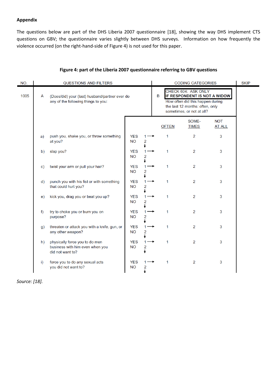## **Appendix**

The questions below are part of the DHS Liberia 2007 questionnaire [18], showing the way DHS implement CTS questions on GBV; the questionnaire varies slightly between DHS surveys. Information on how frequently the violence occurred (on the right-hand-side of Figure 4) is not used for this paper.

| NO.  |              | <b>QUESTIONS AND FILTERS</b>                                                          |                         |                  |   | <b>CODING CATEGORIES</b>                                                                                                                                |                       |                             | <b>SKIP</b> |
|------|--------------|---------------------------------------------------------------------------------------|-------------------------|------------------|---|---------------------------------------------------------------------------------------------------------------------------------------------------------|-----------------------|-----------------------------|-------------|
| 1005 | A            | (Does/did) your (last) husband/partner ever do<br>any of the following things to you: |                         |                  | B | CHECK 604: ASK ONLY<br>IF RESPONDENT IS NOT A WIDOW<br>How often did this happen during<br>the last 12 months: often, only<br>sometimes, or not at all? |                       |                             |             |
|      |              |                                                                                       |                         |                  |   | <b>OFTEN</b>                                                                                                                                            | SOME-<br><b>TIMES</b> | <b>NOT</b><br><b>AT ALL</b> |             |
|      | a)           | push you, shake you, or throw something<br>at you?                                    | <b>YES</b><br><b>NO</b> | 2                |   | 1                                                                                                                                                       | 2                     | 3                           |             |
|      | b)           | slap you?                                                                             | <b>YES</b><br><b>NO</b> | 2                |   | 1                                                                                                                                                       | 2                     | 3                           |             |
|      | $\mathbf{C}$ | twist your arm or pull your hair?                                                     | <b>YES</b><br><b>NO</b> | 2                |   | 1                                                                                                                                                       | $\overline{2}$        | 3                           |             |
|      | $\mathsf{d}$ | punch you with his fist or with something<br>that could hurt you?                     | <b>YES</b><br><b>NO</b> | 1<br>2           |   | 1                                                                                                                                                       | 2                     | 3                           |             |
|      | e)           | kick you, drag you or beat you up?                                                    | <b>YES</b><br><b>NO</b> | 1<br>2           |   | $\mathbf{1}$                                                                                                                                            | 2                     | 3                           |             |
|      | f)           | try to choke you or burn you on<br>purpose?                                           | <b>YES</b><br><b>NO</b> | 1<br>2           |   | $\mathbf{1}$                                                                                                                                            | 2                     | 3                           |             |
|      | g)           | threaten or attack you with a knife, gun, or<br>any other weapon?                     | <b>YES</b><br><b>NO</b> | 1<br>2           |   | 1                                                                                                                                                       | $\overline{2}$        | 3                           |             |
|      | h)           | physically force you to do men<br>business with him even when you<br>did not want to? | <b>YES</b><br><b>NO</b> | $1^{\circ}$<br>2 |   | 1                                                                                                                                                       | 2                     | 3                           |             |
|      | i)           | force you to do any sexual acts<br>you did not want to?                               | <b>YES</b><br><b>NO</b> | 2                |   |                                                                                                                                                         | $\overline{2}$        | 3                           |             |

## **Figure 4: part of the Liberia 2007 questionnaire referring to GBV questions**

*Source: [18].*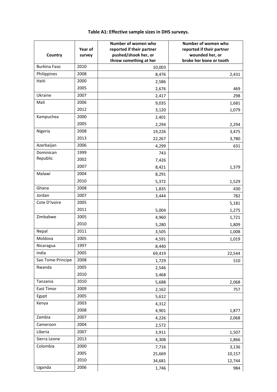| Country             | Year of<br>survey | Number of women who<br>reported if their partner<br>pushed/shook her, or<br>threw something at her | Number of women who<br>reported if their partner<br>wounded her, or<br>broke her bone or tooth |
|---------------------|-------------------|----------------------------------------------------------------------------------------------------|------------------------------------------------------------------------------------------------|
| <b>Burkina Faso</b> | 2010              | 10,003                                                                                             |                                                                                                |
| Philippines         | 2008              | 8,476                                                                                              | 2,431                                                                                          |
| Haiti               | 2000              | 2,586                                                                                              |                                                                                                |
|                     | 2005              | 2,676                                                                                              | 469                                                                                            |
| Ukraine             | 2007              | 2,417                                                                                              | 298                                                                                            |
| Mali                | 2006              | 9,035                                                                                              | 1,681                                                                                          |
|                     | 2012              | 3,120                                                                                              | 1,079                                                                                          |
| Kampuchea           | 2000              | 2,401                                                                                              |                                                                                                |
|                     | 2005              | 2,294                                                                                              | 2,294                                                                                          |
| Nigeria             | 2008              | 19,226                                                                                             | 3,475                                                                                          |
|                     | 2013              | 22,267                                                                                             | 3,780                                                                                          |
| Azerbaijan          | 2006              | 4,299                                                                                              | 631                                                                                            |
| Dominican           | 1999              | 743                                                                                                |                                                                                                |
| Republic            | 2002              | 7,426                                                                                              |                                                                                                |
|                     | 2007              | 8,421                                                                                              | 1,379                                                                                          |
| Malawi              | 2004              | 8,291                                                                                              |                                                                                                |
|                     | 2010              | 5,372                                                                                              | 1,529                                                                                          |
| Ghana               | 2008              | 1,835                                                                                              | 430                                                                                            |
| Jordan              | 2007              | 3,444                                                                                              | 782                                                                                            |
| Cote D'Ivoire       | 2005              |                                                                                                    | 5,181                                                                                          |
|                     | 2011              | 5,004                                                                                              | 1,275                                                                                          |
| Zimbabwe            | 2005              | 4,960                                                                                              | 1,721                                                                                          |
|                     | 2010              | 5,280                                                                                              | 1,809                                                                                          |
| Nepal               | 2011              | 3,505                                                                                              | 1,008                                                                                          |
| Moldova             | 2005              | 4,591                                                                                              | 1,019                                                                                          |
| Nicaragua           | 1997              | 8,440                                                                                              |                                                                                                |
| India               | 2005              | 69,419                                                                                             | 22,544                                                                                         |
| Sao Tome-Principe   | 2008              | 1,729                                                                                              | 510                                                                                            |
| Rwanda              | 2005              | 2,546                                                                                              |                                                                                                |
|                     | 2010              | 3,468                                                                                              |                                                                                                |
| Tanzania            | 2010              | 5,688                                                                                              | 2,068                                                                                          |
| East Timor          | 2009              | 2,162                                                                                              | 757                                                                                            |
| Egypt               | 2005              | 5,612                                                                                              |                                                                                                |
| Kenya               | 2003              | 4,312                                                                                              |                                                                                                |
|                     | 2008              | 4,901                                                                                              | 1,877                                                                                          |
| Zambia              | 2007              | 4,226                                                                                              | 2,068                                                                                          |
| Cameroon            | 2004              | 2,572                                                                                              |                                                                                                |
| Liberia             | 2007              | 3,911                                                                                              | 1,507                                                                                          |
| Sierra Leone        | 2013              | 4,308                                                                                              | 1,866                                                                                          |
| Colombia            | 2000              | 7,716                                                                                              | 3,136                                                                                          |
|                     | 2005              | 25,669                                                                                             | 10,157                                                                                         |
|                     | 2010              | 34,681                                                                                             | 12,744                                                                                         |
| Uganda              | 2006              | 1,746                                                                                              | 984                                                                                            |

# **Table A1: Effective sample sizes in DHS surveys.**